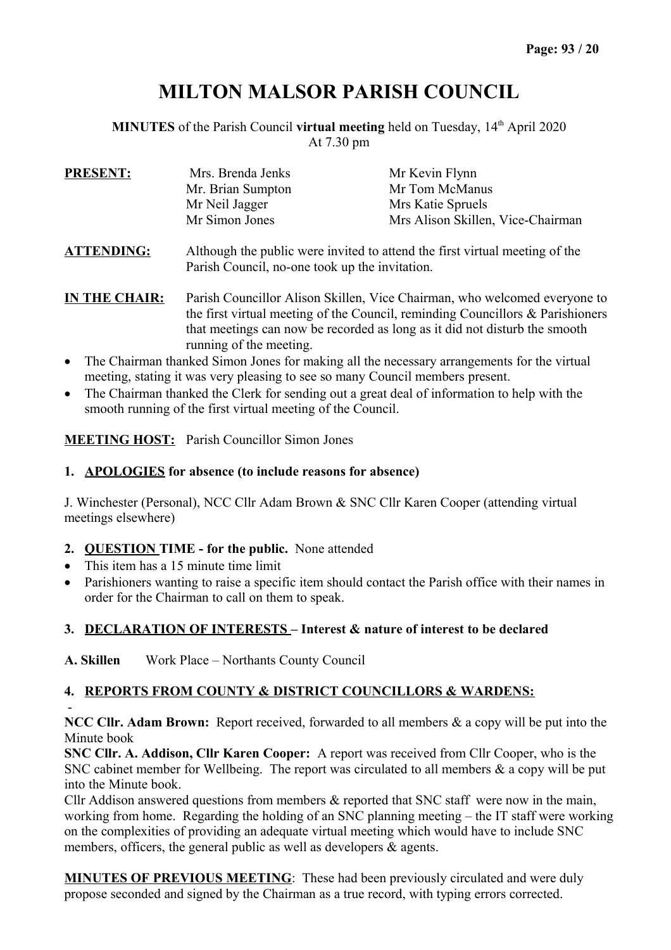# **MILTON MALSOR PARISH COUNCIL**

**MINUTES** of the Parish Council **virtual meeting** held on Tuesday, 14<sup>th</sup> April 2020 At 7.30 pm

| <b>PRESENT:</b>   | Mrs. Brenda Jenks                                                                                                             | Mr Kevin Flynn                    |  |  |
|-------------------|-------------------------------------------------------------------------------------------------------------------------------|-----------------------------------|--|--|
|                   | Mr. Brian Sumpton                                                                                                             | Mr Tom McManus                    |  |  |
|                   | Mr Neil Jagger                                                                                                                | Mrs Katie Spruels                 |  |  |
|                   | Mr Simon Jones                                                                                                                | Mrs Alison Skillen, Vice-Chairman |  |  |
| <b>ATTENDING:</b> | Although the public were invited to attend the first virtual meeting of the<br>Parish Council, no-one took up the invitation. |                                   |  |  |

- **IN THE CHAIR:** Parish Councillor Alison Skillen, Vice Chairman, who welcomed everyone to the first virtual meeting of the Council, reminding Councillors & Parishioners that meetings can now be recorded as long as it did not disturb the smooth running of the meeting.
- The Chairman thanked Simon Jones for making all the necessary arrangements for the virtual meeting, stating it was very pleasing to see so many Council members present.
- The Chairman thanked the Clerk for sending out a great deal of information to help with the smooth running of the first virtual meeting of the Council.

**MEETING HOST:** Parish Councillor Simon Jones

#### **1. APOLOGIES for absence (to include reasons for absence)**

J. Winchester (Personal), NCC Cllr Adam Brown & SNC Cllr Karen Cooper (attending virtual meetings elsewhere)

- **2. QUESTION TIME for the public.** None attended
- This item has a 15 minute time limit
- Parishioners wanting to raise a specific item should contact the Parish office with their names in order for the Chairman to call on them to speak.

# **3. DECLARATION OF INTERESTS – Interest & nature of interest to be declared**

**A. Skillen** Work Place – Northants County Council

# **4. REPORTS FROM COUNTY & DISTRICT COUNCILLORS & WARDENS:**

- **NCC Cllr. Adam Brown:** Report received, forwarded to all members & a copy will be put into the Minute book

**SNC Cllr. A. Addison, Cllr Karen Cooper:** A report was received from Cllr Cooper, who is the SNC cabinet member for Wellbeing. The report was circulated to all members & a copy will be put into the Minute book.

Cllr Addison answered questions from members & reported that SNC staff were now in the main, working from home. Regarding the holding of an SNC planning meeting – the IT staff were working on the complexities of providing an adequate virtual meeting which would have to include SNC members, officers, the general public as well as developers  $\&$  agents.

**MINUTES OF PREVIOUS MEETING**: These had been previously circulated and were duly propose seconded and signed by the Chairman as a true record, with typing errors corrected.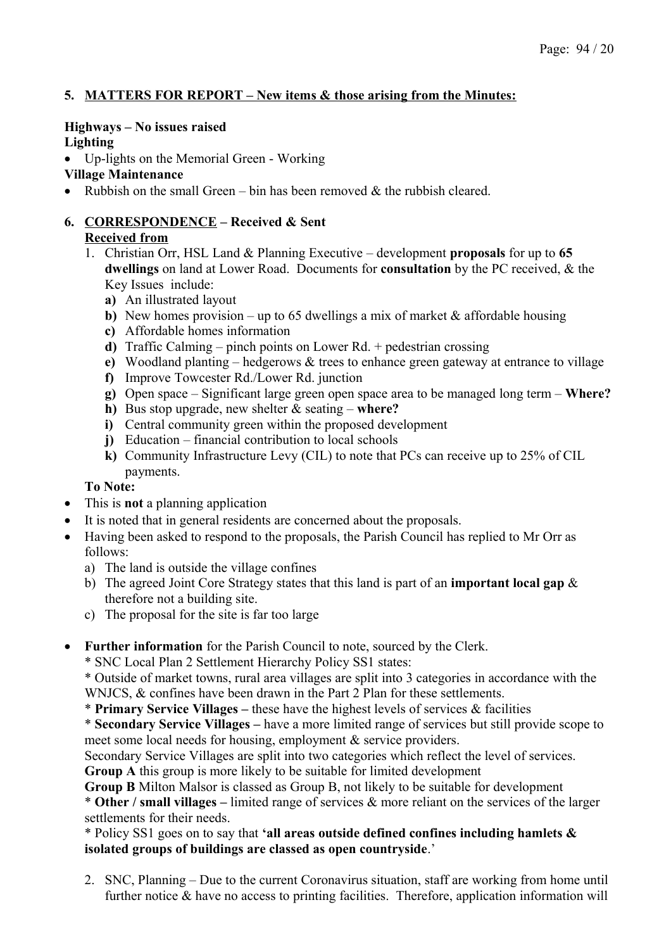# **5. MATTERS FOR REPORT – New items & those arising from the Minutes:**

# **Highways – No issues raised**

**Lighting** 

Up-lights on the Memorial Green - Working

#### **Village Maintenance**

• Rubbish on the small Green – bin has been removed  $\&$  the rubbish cleared.

# **6. CORRESPONDENCE – Received & Sent**

# **Received from**

- 1. Christian Orr, HSL Land & Planning Executive development **proposals** for up to **65 dwellings** on land at Lower Road. Documents for **consultation** by the PC received, & the Key Issues include:
	- **a)** An illustrated layout
	- **b**) New homes provision up to 65 dwellings a mix of market  $\&$  affordable housing
	- **c)** Affordable homes information
	- **d)** Traffic Calming pinch points on Lower Rd. + pedestrian crossing
	- **e)** Woodland planting hedgerows & trees to enhance green gateway at entrance to village
	- **f)** Improve Towcester Rd./Lower Rd. junction
	- **g)** Open space Significant large green open space area to be managed long term **Where?**
	- **h)** Bus stop upgrade, new shelter & seating **where?**
	- **i)** Central community green within the proposed development
	- **j)** Education financial contribution to local schools
	- **k)** Community Infrastructure Levy (CIL) to note that PCs can receive up to 25% of CIL payments.

# **To Note:**

- This is **not** a planning application
- It is noted that in general residents are concerned about the proposals.
- Having been asked to respond to the proposals, the Parish Council has replied to Mr Orr as follows:
	- a) The land is outside the village confines
	- b) The agreed Joint Core Strategy states that this land is part of an **important local gap** & therefore not a building site.
	- c) The proposal for the site is far too large
- **Further information** for the Parish Council to note, sourced by the Clerk.

\* SNC Local Plan 2 Settlement Hierarchy Policy SS1 states:

\* Outside of market towns, rural area villages are split into 3 categories in accordance with the WNJCS,  $&$  confines have been drawn in the Part 2 Plan for these settlements.

\* **Primary Service Villages –** these have the highest levels of services & facilities

\* **Secondary Service Villages –** have a more limited range of services but still provide scope to meet some local needs for housing, employment & service providers.

Secondary Service Villages are split into two categories which reflect the level of services. **Group A** this group is more likely to be suitable for limited development

**Group B** Milton Malsor is classed as Group B, not likely to be suitable for development

\* **Other / small villages –** limited range of services & more reliant on the services of the larger settlements for their needs.

\* Policy SS1 goes on to say that **'all areas outside defined confines including hamlets & isolated groups of buildings are classed as open countryside**.'

2. SNC, Planning – Due to the current Coronavirus situation, staff are working from home until further notice & have no access to printing facilities. Therefore, application information will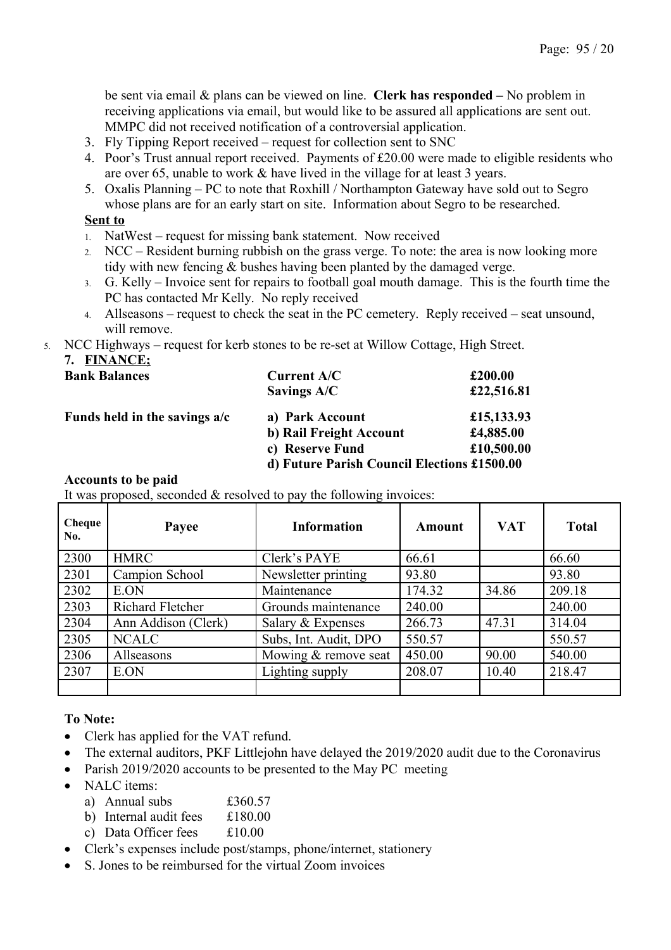be sent via email & plans can be viewed on line. **Clerk has responded –** No problem in receiving applications via email, but would like to be assured all applications are sent out. MMPC did not received notification of a controversial application.

- 3. Fly Tipping Report received request for collection sent to SNC
- 4. Poor's Trust annual report received. Payments of £20.00 were made to eligible residents who are over 65, unable to work & have lived in the village for at least 3 years.
- 5. Oxalis Planning PC to note that Roxhill / Northampton Gateway have sold out to Segro whose plans are for an early start on site. Information about Segro to be researched.

#### **Sent to**

- 1. NatWest request for missing bank statement. Now received
- 2. NCC Resident burning rubbish on the grass verge. To note: the area is now looking more tidy with new fencing & bushes having been planted by the damaged verge.
- 3. G. Kelly Invoice sent for repairs to football goal mouth damage. This is the fourth time the PC has contacted Mr Kelly. No reply received
- 4. Allseasons request to check the seat in the PC cemetery. Reply received seat unsound, will remove.
- 5. NCC Highways request for kerb stones to be re-set at Willow Cottage, High Street.

**7. FINANCE;**

| --------<br><b>Bank Balances</b> | <b>Current A/C</b><br>Savings A/C           | £200.00<br>£22,516.81 |
|----------------------------------|---------------------------------------------|-----------------------|
| Funds held in the savings $a/c$  | a) Park Account                             | £15,133.93            |
|                                  | b) Rail Freight Account                     | £4,885.00             |
|                                  | c) Reserve Fund                             | £10,500.00            |
|                                  | d) Future Parish Council Elections £1500.00 |                       |

#### **Accounts to be paid**

It was proposed, seconded & resolved to pay the following invoices:

| Cheque<br>No. | Payee               | <b>Information</b>    | Amount | <b>VAT</b> | <b>Total</b> |
|---------------|---------------------|-----------------------|--------|------------|--------------|
| 2300          | <b>HMRC</b>         | Clerk's PAYE          | 66.61  |            | 66.60        |
| 2301          | Campion School      | Newsletter printing   | 93.80  |            | 93.80        |
| 2302          | E.ON                | Maintenance           | 174.32 | 34.86      | 209.18       |
| 2303          | Richard Fletcher    | Grounds maintenance   | 240.00 |            | 240.00       |
| 2304          | Ann Addison (Clerk) | Salary & Expenses     | 266.73 | 47.31      | 314.04       |
| 2305          | <b>NCALC</b>        | Subs, Int. Audit, DPO | 550.57 |            | 550.57       |
| 2306          | Allseasons          | Mowing & remove seat  | 450.00 | 90.00      | 540.00       |
| 2307          | E.ON                | Lighting supply       | 208.07 | 10.40      | 218.47       |
|               |                     |                       |        |            |              |

# **To Note:**

- Clerk has applied for the VAT refund.
- The external auditors, PKF Littlejohn have delayed the 2019/2020 audit due to the Coronavirus
- Parish 2019/2020 accounts to be presented to the May PC meeting
- $\bullet$  NALC items:
	- a) Annual subs £360.57
	- b) Internal audit fees £180.00
	- c) Data Officer fees £10.00
- Clerk's expenses include post/stamps, phone/internet, stationery
- S. Jones to be reimbursed for the virtual Zoom invoices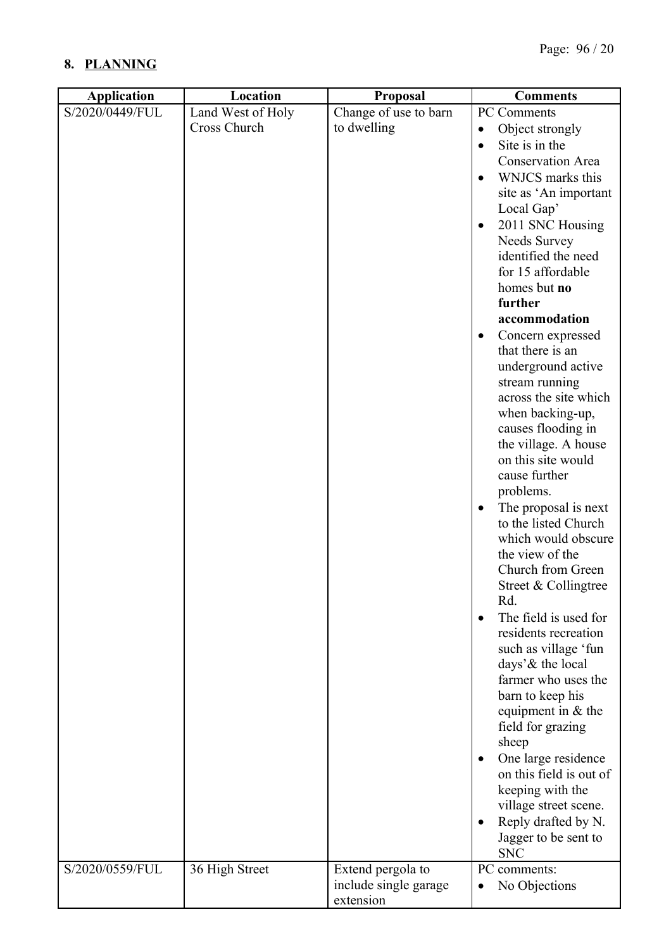# **8. PLANNING**

| <b>Application</b> | Location                          | Proposal                             | <b>Comments</b>                                                                                                                                                                                                                                                                                                                                                                                                                                                                                                                                                                                                                                                                                                                                                                                                                                                                                                                                                                                                                                                                                       |
|--------------------|-----------------------------------|--------------------------------------|-------------------------------------------------------------------------------------------------------------------------------------------------------------------------------------------------------------------------------------------------------------------------------------------------------------------------------------------------------------------------------------------------------------------------------------------------------------------------------------------------------------------------------------------------------------------------------------------------------------------------------------------------------------------------------------------------------------------------------------------------------------------------------------------------------------------------------------------------------------------------------------------------------------------------------------------------------------------------------------------------------------------------------------------------------------------------------------------------------|
| S/2020/0449/FUL    | Land West of Holy<br>Cross Church | Change of use to barn<br>to dwelling | PC Comments<br>Object strongly<br>$\bullet$<br>Site is in the<br>$\bullet$<br><b>Conservation Area</b><br>WNJCS marks this<br>$\bullet$<br>site as 'An important<br>Local Gap'<br>2011 SNC Housing<br>$\bullet$<br>Needs Survey<br>identified the need<br>for 15 affordable<br>homes but no<br>further<br>accommodation<br>Concern expressed<br>$\bullet$<br>that there is an<br>underground active<br>stream running<br>across the site which<br>when backing-up,<br>causes flooding in<br>the village. A house<br>on this site would<br>cause further<br>problems.<br>The proposal is next<br>$\bullet$<br>to the listed Church<br>which would obscure<br>the view of the<br>Church from Green<br>Street & Collingtree<br>Rd.<br>The field is used for<br>residents recreation<br>such as village 'fun<br>days' & the local<br>farmer who uses the<br>barn to keep his<br>equipment in & the<br>field for grazing<br>sheep<br>One large residence<br>$\bullet$<br>on this field is out of<br>keeping with the<br>village street scene.<br>Reply drafted by N.<br>Jagger to be sent to<br><b>SNC</b> |
| S/2020/0559/FUL    | 36 High Street                    | Extend pergola to                    | PC comments:                                                                                                                                                                                                                                                                                                                                                                                                                                                                                                                                                                                                                                                                                                                                                                                                                                                                                                                                                                                                                                                                                          |
|                    |                                   | include single garage<br>extension   | No Objections<br>$\bullet$                                                                                                                                                                                                                                                                                                                                                                                                                                                                                                                                                                                                                                                                                                                                                                                                                                                                                                                                                                                                                                                                            |